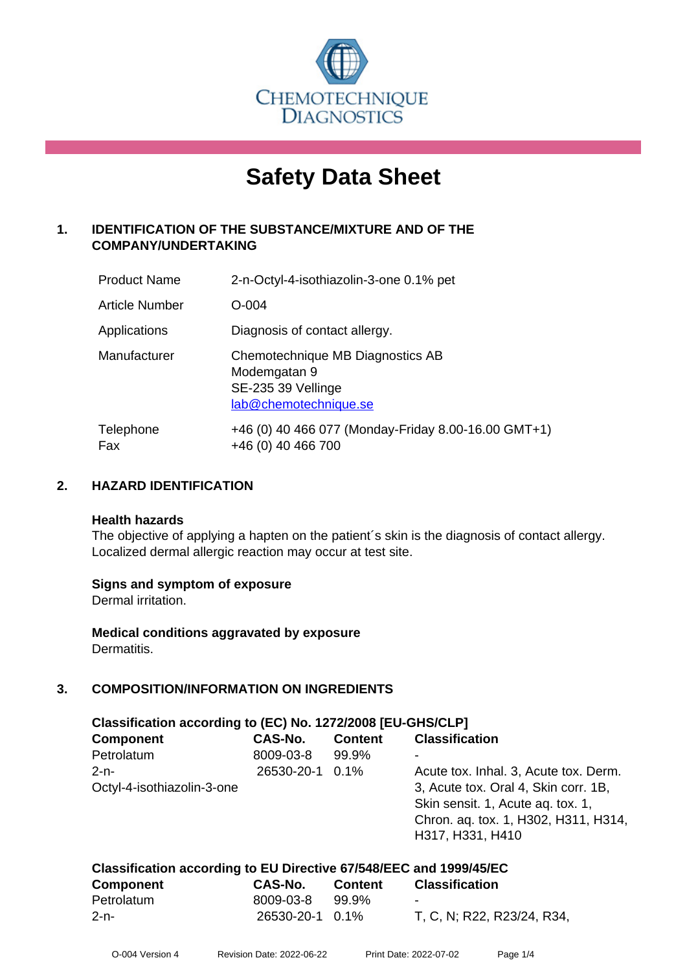

# **Safety Data Sheet**

## **1. IDENTIFICATION OF THE SUBSTANCE/MIXTURE AND OF THE COMPANY/UNDERTAKING**

| <b>Product Name</b>   | 2-n-Octyl-4-isothiazolin-3-one 0.1% pet                                                         |
|-----------------------|-------------------------------------------------------------------------------------------------|
| <b>Article Number</b> | $O - 004$                                                                                       |
| Applications          | Diagnosis of contact allergy.                                                                   |
| Manufacturer          | Chemotechnique MB Diagnostics AB<br>Modemgatan 9<br>SE-235 39 Vellinge<br>lab@chemotechnique.se |
| Telephone<br>Fax      | +46 (0) 40 466 077 (Monday-Friday 8.00-16.00 GMT+1)<br>+46 (0) 40 466 700                       |

## **2. HAZARD IDENTIFICATION**

#### **Health hazards**

The objective of applying a hapten on the patient's skin is the diagnosis of contact allergy. Localized dermal allergic reaction may occur at test site.

## **Signs and symptom of exposure**

Dermal irritation.

**Medical conditions aggravated by exposure** Dermatitis.

## **3. COMPOSITION/INFORMATION ON INGREDIENTS**

| Classification according to (EC) No. 1272/2008 [EU-GHS/CLP] |                 |                |                                       |  |  |
|-------------------------------------------------------------|-----------------|----------------|---------------------------------------|--|--|
| <b>Component</b>                                            | CAS-No.         | <b>Content</b> | <b>Classification</b>                 |  |  |
| Petrolatum                                                  | 8009-03-8       | 99.9%          |                                       |  |  |
| $2 - n -$                                                   | 26530-20-1 0.1% |                | Acute tox. Inhal. 3, Acute tox. Derm. |  |  |
| Octyl-4-isothiazolin-3-one                                  |                 |                | 3, Acute tox. Oral 4, Skin corr. 1B,  |  |  |
|                                                             |                 |                | Skin sensit. 1, Acute ag. tox. 1,     |  |  |
|                                                             |                 |                | Chron. aq. tox. 1, H302, H311, H314,  |  |  |
|                                                             |                 |                | H317, H331, H410                      |  |  |
|                                                             |                 |                |                                       |  |  |

| Classification according to EU Directive 67/548/EEC and 1999/45/EC |                 |                |                            |  |  |
|--------------------------------------------------------------------|-----------------|----------------|----------------------------|--|--|
| <b>Component</b>                                                   | CAS-No.         | <b>Content</b> | <b>Classification</b>      |  |  |
| Petrolatum                                                         | 8009-03-8       | 99.9%          | $\sim$                     |  |  |
| 2-n-                                                               | 26530-20-1 0.1% |                | T, C, N; R22, R23/24, R34, |  |  |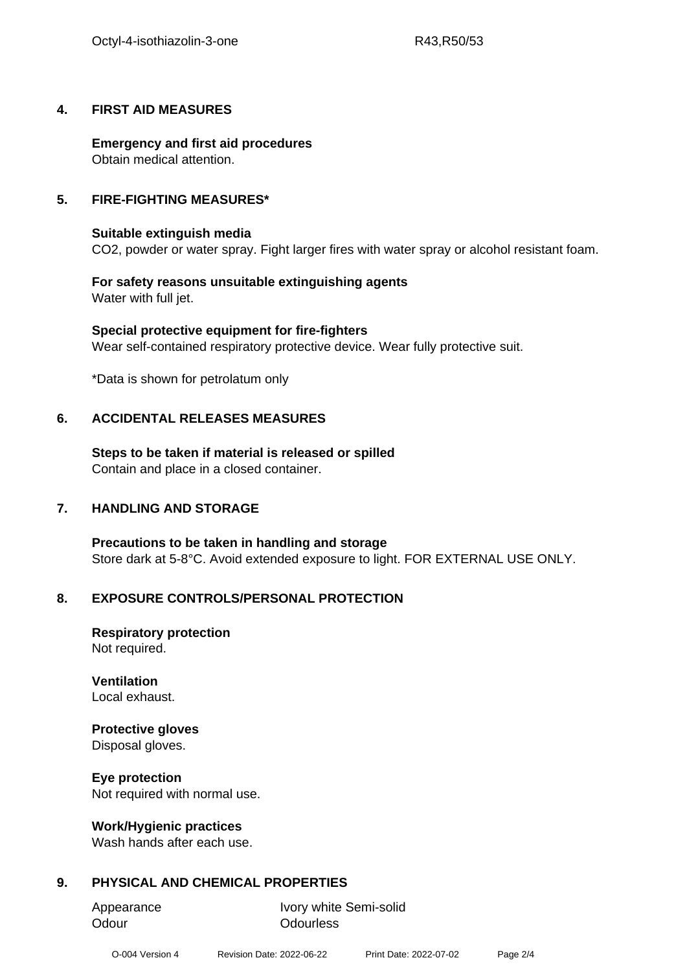## **4. FIRST AID MEASURES**

**Emergency and first aid procedures** Obtain medical attention.

## **5. FIRE-FIGHTING MEASURES\***

## **Suitable extinguish media**

CO2, powder or water spray. Fight larger fires with water spray or alcohol resistant foam.

#### **For safety reasons unsuitable extinguishing agents** Water with full jet.

**Special protective equipment for fire-fighters** Wear self-contained respiratory protective device. Wear fully protective suit.

\*Data is shown for petrolatum only

## **6. ACCIDENTAL RELEASES MEASURES**

**Steps to be taken if material is released or spilled** Contain and place in a closed container.

## **7. HANDLING AND STORAGE**

**Precautions to be taken in handling and storage** Store dark at 5-8°C. Avoid extended exposure to light. FOR EXTERNAL USE ONLY.

## **8. EXPOSURE CONTROLS/PERSONAL PROTECTION**

**Respiratory protection** Not required.

**Ventilation** Local exhaust.

## **Protective gloves**

Disposal gloves.

## **Eye protection**

Not required with normal use.

## **Work/Hygienic practices**

Wash hands after each use.

## **9. PHYSICAL AND CHEMICAL PROPERTIES**

Odour **Odourless** 

Appearance Ivory white Semi-solid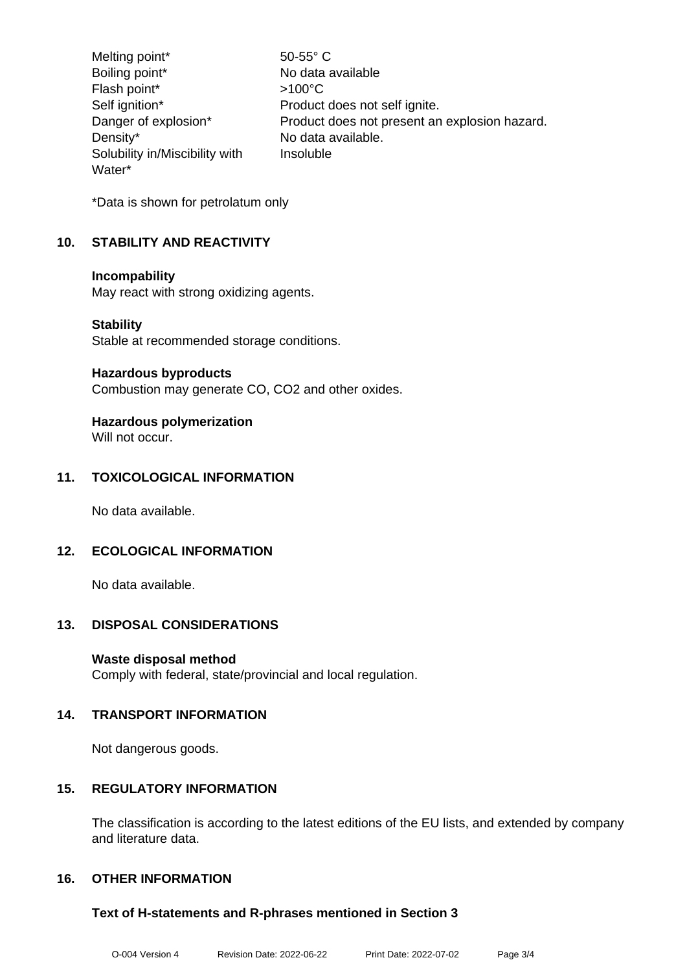Melting point\* 50-55° C Boiling point\* No data available Flash point\*  $>100^{\circ}$ C Self ignition\* Product does not self ignite. Danger of explosion\* Product does not present an explosion hazard. Density\* No data available. Solubility in/Miscibility with Water\* Insoluble

\*Data is shown for petrolatum only

## **10. STABILITY AND REACTIVITY**

#### **Incompability**

May react with strong oxidizing agents.

#### **Stability**

Stable at recommended storage conditions.

#### **Hazardous byproducts**

Combustion may generate CO, CO2 and other oxides.

## **Hazardous polymerization**

Will not occur.

## **11. TOXICOLOGICAL INFORMATION**

No data available.

## **12. ECOLOGICAL INFORMATION**

No data available.

## **13. DISPOSAL CONSIDERATIONS**

## **Waste disposal method**

Comply with federal, state/provincial and local regulation.

## **14. TRANSPORT INFORMATION**

Not dangerous goods.

## **15. REGULATORY INFORMATION**

The classification is according to the latest editions of the EU lists, and extended by company and literature data.

## **16. OTHER INFORMATION**

## **Text of H-statements and R-phrases mentioned in Section 3**